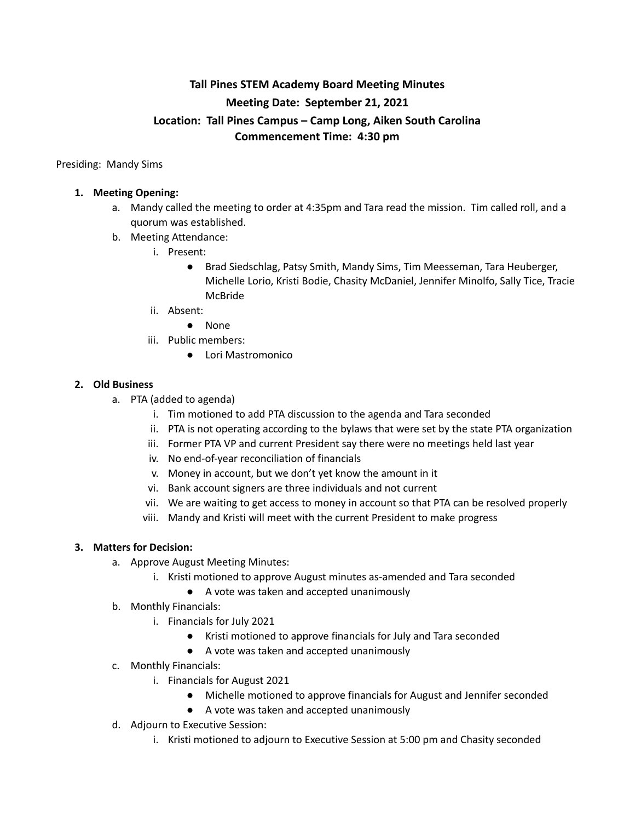# **Tall Pines STEM Academy Board Meeting Minutes Meeting Date: September 21, 2021 Location: Tall Pines Campus – Camp Long, Aiken South Carolina Commencement Time: 4:30 pm**

Presiding: Mandy Sims

#### **1. Meeting Opening:**

- a. Mandy called the meeting to order at 4:35pm and Tara read the mission. Tim called roll, and a quorum was established.
- b. Meeting Attendance:
	- i. Present:
		- Brad Siedschlag, Patsy Smith, Mandy Sims, Tim Meesseman, Tara Heuberger, Michelle Lorio, Kristi Bodie, Chasity McDaniel, Jennifer Minolfo, Sally Tice, Tracie McBride
	- ii. Absent:
		- None
	- iii. Public members:
		- Lori Mastromonico

### **2. Old Business**

- a. PTA (added to agenda)
	- i. Tim motioned to add PTA discussion to the agenda and Tara seconded
	- ii. PTA is not operating according to the bylaws that were set by the state PTA organization
	- iii. Former PTA VP and current President say there were no meetings held last year
	- iv. No end-of-year reconciliation of financials
	- v. Money in account, but we don't yet know the amount in it
	- vi. Bank account signers are three individuals and not current
	- vii. We are waiting to get access to money in account so that PTA can be resolved properly
	- viii. Mandy and Kristi will meet with the current President to make progress

#### **3. Matters for Decision:**

- a. Approve August Meeting Minutes:
	- i. Kristi motioned to approve August minutes as-amended and Tara seconded
		- A vote was taken and accepted unanimously
- b. Monthly Financials:
	- i. Financials for July 2021
		- Kristi motioned to approve financials for July and Tara seconded
		- A vote was taken and accepted unanimously
- c. Monthly Financials:
	- i. Financials for August 2021
		- Michelle motioned to approve financials for August and Jennifer seconded
		- A vote was taken and accepted unanimously
- d. Adjourn to Executive Session:
	- i. Kristi motioned to adjourn to Executive Session at 5:00 pm and Chasity seconded